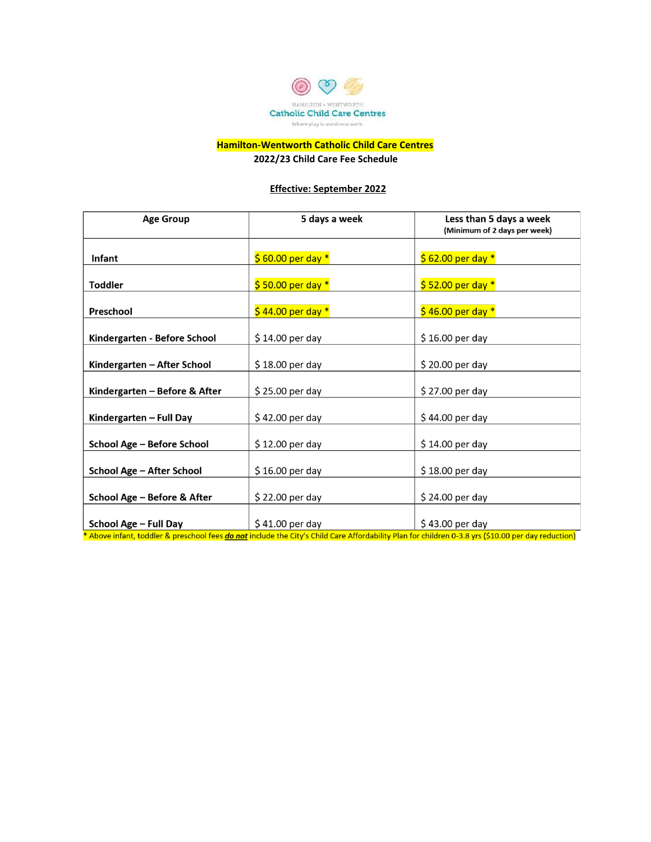

# **Hamilton-Wentworth Catholic Child Care Centres**

**2022/23 Child Care Fee Schedule** 

#### **Effective: September 2022**

| <b>Age Group</b>              | 5 days a week        | Less than 5 days a week<br>(Minimum of 2 days per week) |  |
|-------------------------------|----------------------|---------------------------------------------------------|--|
|                               |                      |                                                         |  |
| <b>Infant</b>                 | $$60.00$ per day *   | $$62.00$ per day *                                      |  |
| <b>Toddler</b>                | $$50.00$ per day $*$ | $$52.00$ per day $*$                                    |  |
| Preschool                     | $$44.00$ per day $*$ | $$46.00$ per day *                                      |  |
| Kindergarten - Before School  | $$14.00$ per day     | \$16.00 per day                                         |  |
| Kindergarten – After School   | $$18.00$ per day     | \$20.00 per day                                         |  |
| Kindergarten – Before & After | \$25.00 per day      | \$27.00 per day                                         |  |
| Kindergarten - Full Day       | $$42.00$ per day     | \$44.00 per day                                         |  |
| School Age - Before School    | \$12.00 per day      | \$14.00 per day                                         |  |
| School Age - After School     | $$16.00$ per day     | $$18.00$ per day                                        |  |
| School Age - Before & After   | \$22.00 per day      | \$24.00 per day                                         |  |
| School Age - Full Day         | $$41.00$ per day     | \$43.00 per day                                         |  |

\* Above infant, toddler & preschool fees do not include the City's Child Care Affordability Plan for children 0-3.8 yrs (\$10.00 per day reduction)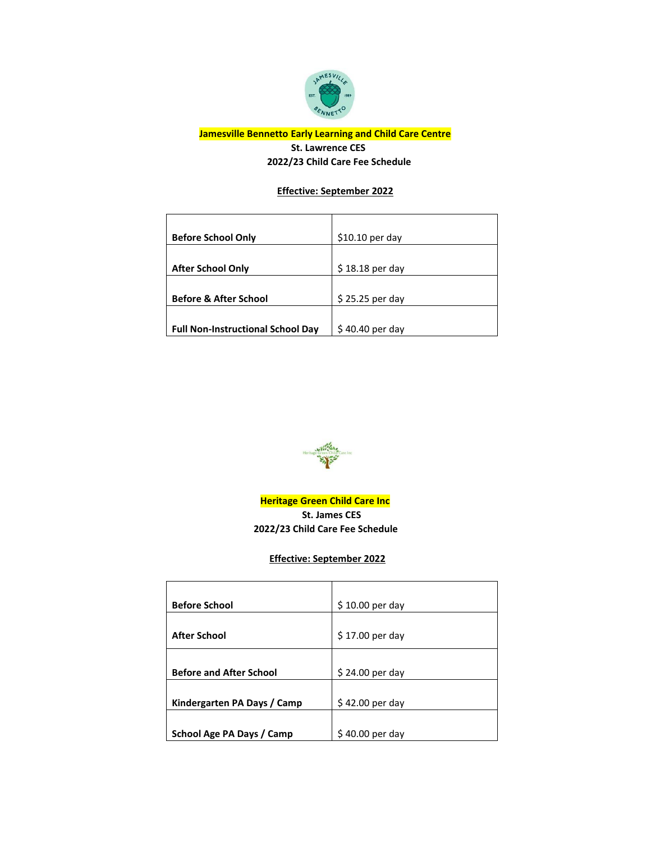

## **Jamesville Bennetto Early Learning and Child Care Centre St. Lawrence CES 2022/23 Child Care Fee Schedule**

## **Effective: September 2022**

| <b>Before School Only</b>                | $$10.10$ per day |
|------------------------------------------|------------------|
|                                          |                  |
| <b>After School Only</b>                 | $$18.18$ per day |
|                                          |                  |
| <b>Before &amp; After School</b>         | $$25.25$ per day |
|                                          |                  |
| <b>Full Non-Instructional School Day</b> | \$40.40 per day  |



**Heritage Green Child Care Inc St. James CES 2022/23 Child Care Fee Schedule** 

 **Effective: September 2022**

| <b>Before School</b>           | $$10.00$ per day |
|--------------------------------|------------------|
|                                |                  |
| <b>After School</b>            | \$17.00 per day  |
|                                |                  |
|                                |                  |
| <b>Before and After School</b> | $$24.00$ per day |
|                                |                  |
| Kindergarten PA Days / Camp    | \$42.00 per day  |
|                                |                  |
| School Age PA Days / Camp      | $$40.00$ per day |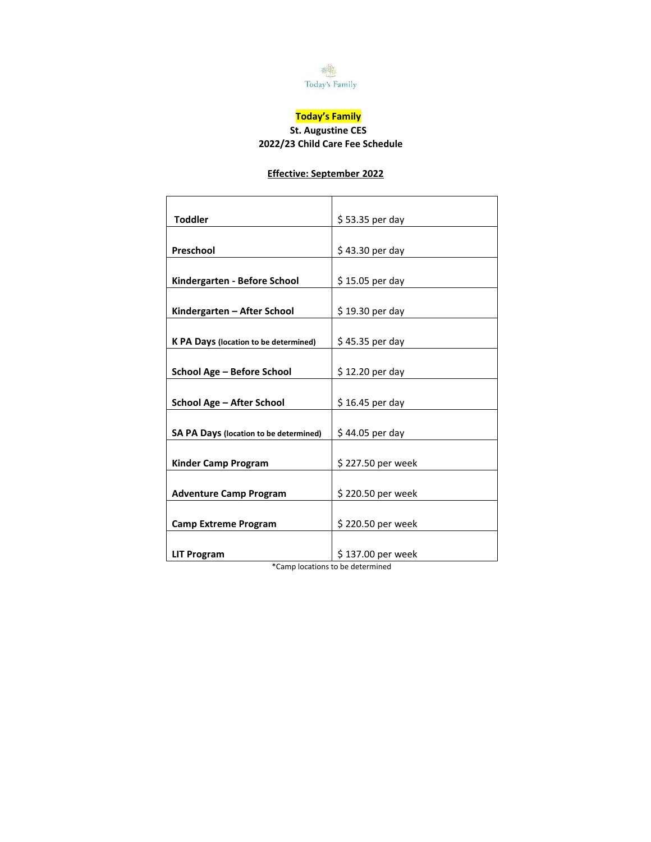

# **Today's Family**

## **St. Augustine CES 2022/23 Child Care Fee Schedule**

## **Effective: September 2022**

| <b>Toddler</b>                                | \$53.35 per day   |  |
|-----------------------------------------------|-------------------|--|
|                                               |                   |  |
| Preschool                                     | \$43.30 per day   |  |
|                                               |                   |  |
| Kindergarten - Before School                  | \$15.05 per day   |  |
|                                               |                   |  |
| Kindergarten - After School                   | \$19.30 per day   |  |
|                                               |                   |  |
| <b>K PA Days (location to be determined)</b>  | \$45.35 per day   |  |
|                                               |                   |  |
| School Age - Before School                    | \$12.20 per day   |  |
|                                               |                   |  |
| School Age - After School                     | $$16.45$ per day  |  |
|                                               |                   |  |
| <b>SA PA Days (location to be determined)</b> | \$44.05 per day   |  |
|                                               |                   |  |
| Kinder Camp Program                           | \$227.50 per week |  |
|                                               |                   |  |
| <b>Adventure Camp Program</b>                 | \$220.50 per week |  |
|                                               |                   |  |
| <b>Camp Extreme Program</b>                   | \$220.50 per week |  |
|                                               |                   |  |
| <b>LIT Program</b>                            | \$137.00 per week |  |

\*Camp locations to be determined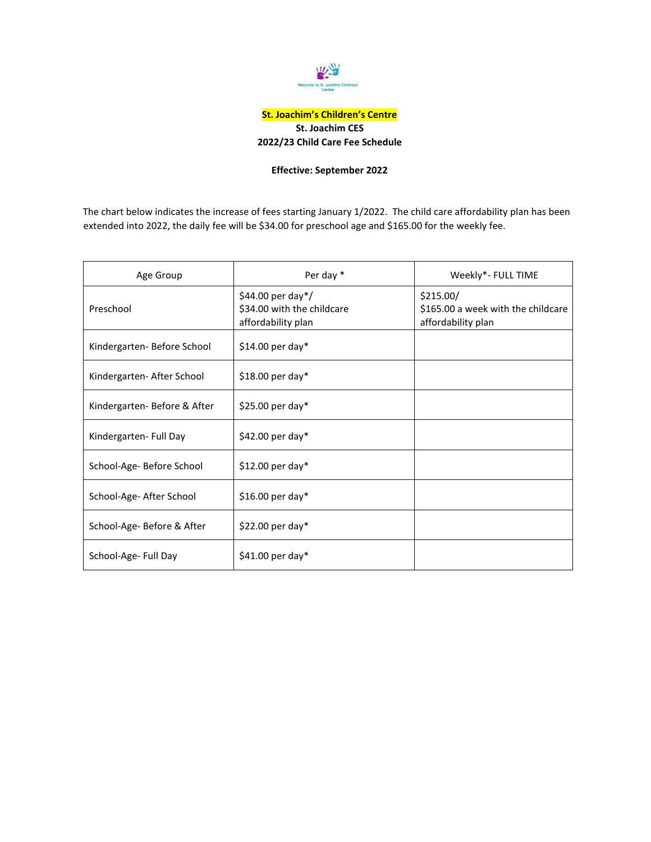

### **St. Joachim's Children's Centre St. Joachim CES 2022/23 Child Care Fee Schedule**

#### **Effective: September 2022**

The chart below indicates the increase of fees starting January 1/2022. The child care affordability plan has been extended into 2022, the daily fee will be \$34.00 for preschool age and \$165.00 for the weekly fee.

| Age Group                   | Per day *                                                                | Weekly*- FULL TIME                                                    |
|-----------------------------|--------------------------------------------------------------------------|-----------------------------------------------------------------------|
| Preschool                   | \$44.00 per day $*/$<br>\$34.00 with the childcare<br>affordability plan | \$215.00/<br>\$165.00 a week with the childcare<br>affordability plan |
| Kindergarten-Before School  | $$14.00$ per day*                                                        |                                                                       |
| Kindergarten- After School  | $$18.00$ per day*                                                        |                                                                       |
| Kindergarten-Before & After | $$25.00$ per day*                                                        |                                                                       |
| Kindergarten- Full Day      | \$42.00 per day*                                                         |                                                                       |
| School-Age- Before School   | $$12.00$ per day*                                                        |                                                                       |
| School-Age- After School    | $$16.00$ per day*                                                        |                                                                       |
| School-Age- Before & After  | $$22.00$ per day*                                                        |                                                                       |
| School-Age- Full Day        | $$41.00$ per day*                                                        |                                                                       |